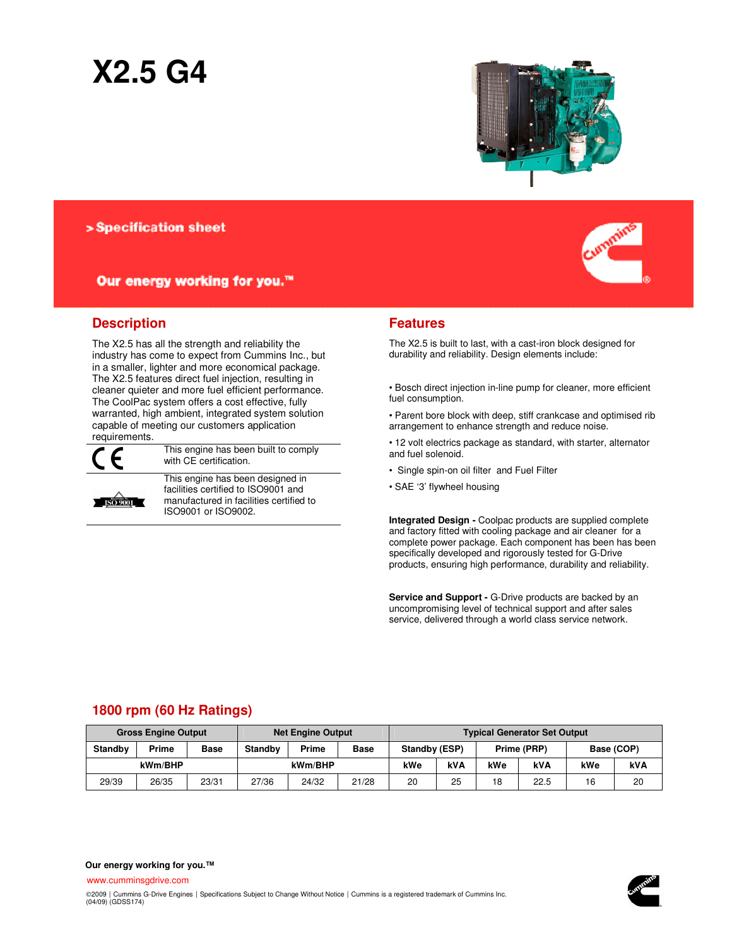# **X2.5 G4**



## > Specification sheet

## Our energy working for you.™



The X2.5 has all the strength and reliability the industry has come to expect from Cummins Inc., but in a smaller, lighter and more economical package. The X2.5 features direct fuel injection, resulting in cleaner quieter and more fuel efficient performance. The CoolPac system offers a cost effective, fully warranted, high ambient, integrated system solution capable of meeting our customers application requirements.



This engine has been built to comply with CE certification.



This engine has been designed in facilities certified to ISO9001 and manufactured in facilities certified to ISO9001 or ISO9002.



### **Features**

The X2.5 is built to last, with a cast-iron block designed for durability and reliability. Design elements include:

• Bosch direct injection in-line pump for cleaner, more efficient fuel consumption.

• Parent bore block with deep, stiff crankcase and optimised rib arrangement to enhance strength and reduce noise.

• 12 volt electrics package as standard, with starter, alternator and fuel solenoid.

- Single spin-on oil filter and Fuel Filter
- SAE '3' flywheel housing

**Integrated Design -** Coolpac products are supplied complete and factory fitted with cooling package and air cleaner for a complete power package. Each component has been has been specifically developed and rigorously tested for G-Drive products, ensuring high performance, durability and reliability.

**Service and Support - G-Drive products are backed by an** uncompromising level of technical support and after sales service, delivered through a world class service network.

## **1800 rpm (60 Hz Ratings)**

|                | <b>Gross Engine Output</b> |             | <b>Net Engine Output</b><br><b>Typical Generator Set Output</b> |       |             |               |     |             |            |            |    |
|----------------|----------------------------|-------------|-----------------------------------------------------------------|-------|-------------|---------------|-----|-------------|------------|------------|----|
| <b>Standby</b> | Prime                      | <b>Base</b> | <b>Standby</b>                                                  | Prime | <b>Base</b> | Standby (ESP) |     | Prime (PRP) |            | Base (COP) |    |
| kWm/BHP        |                            | kWm/BHP     |                                                                 | kWe   | <b>kVA</b>  | kWe           | kVA | kWe         | <b>kVA</b> |            |    |
| 29/39          | 26/35                      | 23/31       | 27/36                                                           | 24/32 | 21/28       | 20            | 25  | 18          | 22.5       | 16         | 20 |

**Our energy working for you.™**

www.cumminsgdrive.com